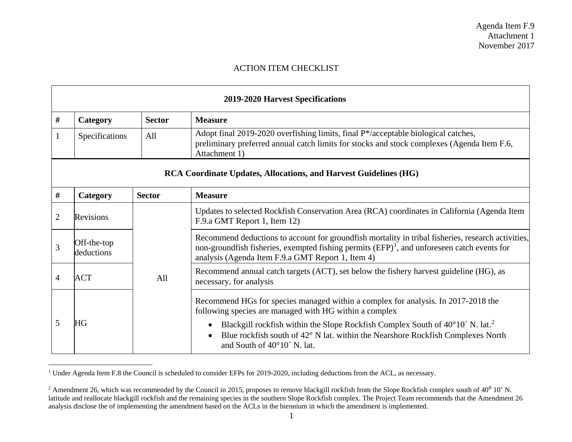## <span id="page-0-1"></span><span id="page-0-0"></span>ACTION ITEM CHECKLIST

| <b>2019-2020 Harvest Specifications</b>                                 |                           |               |                                                                                                                                                                                                                                                           |
|-------------------------------------------------------------------------|---------------------------|---------------|-----------------------------------------------------------------------------------------------------------------------------------------------------------------------------------------------------------------------------------------------------------|
| #                                                                       | Category                  | <b>Sector</b> | <b>Measure</b>                                                                                                                                                                                                                                            |
|                                                                         | Specifications            | All           | Adopt final 2019-2020 overfishing limits, final P*/acceptable biological catches,<br>preliminary preferred annual catch limits for stocks and stock complexes (Agenda Item F.6,<br>Attachment 1)                                                          |
| <b>RCA Coordinate Updates, Allocations, and Harvest Guidelines (HG)</b> |                           |               |                                                                                                                                                                                                                                                           |
| #                                                                       | Category                  | <b>Sector</b> | <b>Measure</b>                                                                                                                                                                                                                                            |
| $\overline{2}$                                                          | Revisions                 |               | Updates to selected Rockfish Conservation Area (RCA) coordinates in California (Agenda Item<br>F.9.a GMT Report 1, Item 12)                                                                                                                               |
| 3                                                                       | Off-the-top<br>deductions |               | Recommend deductions to account for groundfish mortality in tribal fisheries, research activities,<br>non-groundfish fisheries, exempted fishing permits $(EFP)^1$ , and unforeseen catch events for<br>analysis (Agenda Item F.9.a GMT Report 1, Item 4) |
| $\overline{4}$                                                          | <b>ACT</b>                | All           | Recommend annual catch targets (ACT), set below the fishery harvest guideline (HG), as<br>necessary, for analysis                                                                                                                                         |
|                                                                         |                           |               | Recommend HGs for species managed within a complex for analysis. In 2017-2018 the<br>following species are managed with HG within a complex                                                                                                               |
| 5                                                                       | HG                        |               | Blackgill rockfish within the Slope Rockfish Complex South of 40°10′ N. lat. <sup>2</sup><br>Blue rockfish south of 42° N lat. within the Nearshore Rockfish Complexes North<br>and South of $40^{\circ}10'$ N. lat.                                      |

<sup>&</sup>lt;sup>1</sup> Under Agenda Item F.8 the Council is scheduled to consider EFPs for 2019-2020, including deductions from the ACL, as necessary.

<sup>&</sup>lt;sup>2</sup> Amendment 26, which was recommended by the Council in 2015, proposes to remove blackgill rockfish from the Slope Rockfish complex south of  $40^0$  10' N. latitude and reallocate blackgill rockfish and the remaining species in the southern Slope Rockfish complex. The Project Team recommends that the Amendment 26 analysis disclose the of implementing the amendment based on the ACLs in the biennium in which the amendment is implemented.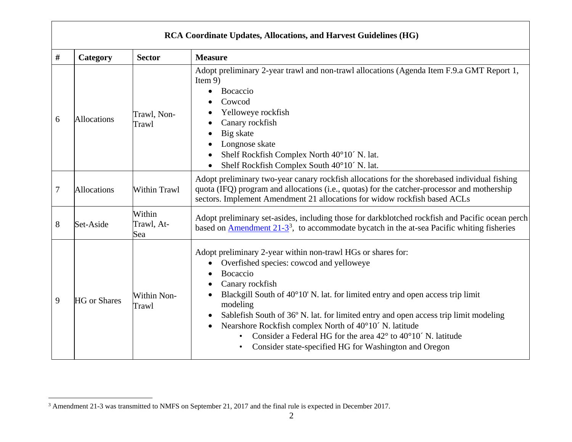<span id="page-1-0"></span>

| <b>RCA Coordinate Updates, Allocations, and Harvest Guidelines (HG)</b> |                     |                             |                                                                                                                                                                                                                                                                                                                                                                                                                                                                                                                                                                           |
|-------------------------------------------------------------------------|---------------------|-----------------------------|---------------------------------------------------------------------------------------------------------------------------------------------------------------------------------------------------------------------------------------------------------------------------------------------------------------------------------------------------------------------------------------------------------------------------------------------------------------------------------------------------------------------------------------------------------------------------|
| #                                                                       | Category            | <b>Sector</b>               | <b>Measure</b>                                                                                                                                                                                                                                                                                                                                                                                                                                                                                                                                                            |
| 6                                                                       | <b>Allocations</b>  | Trawl, Non-<br>Trawl        | Adopt preliminary 2-year trawl and non-trawl allocations (Agenda Item F.9.a GMT Report 1,<br>Item $9$ )<br>Bocaccio<br>Cowcod<br>Yelloweye rockfish<br>Canary rockfish<br>Big skate<br>Longnose skate<br>Shelf Rockfish Complex North 40°10' N. lat.<br>Shelf Rockfish Complex South 40°10' N. lat.                                                                                                                                                                                                                                                                       |
| 7                                                                       | <b>Allocations</b>  | <b>Within Trawl</b>         | Adopt preliminary two-year canary rockfish allocations for the shorebased individual fishing<br>quota (IFQ) program and allocations (i.e., quotas) for the catcher-processor and mothership<br>sectors. Implement Amendment 21 allocations for widow rockfish based ACLs                                                                                                                                                                                                                                                                                                  |
| 8                                                                       | Set-Aside           | Within<br>Trawl, At-<br>Sea | Adopt preliminary set-asides, including those for darkblotched rockfish and Pacific ocean perch<br>based on Amendment $21-3^3$ , to accommodate by catch in the at-sea Pacific whiting fisheries                                                                                                                                                                                                                                                                                                                                                                          |
| 9                                                                       | <b>HG</b> or Shares | Within Non-<br>Trawl        | Adopt preliminary 2-year within non-trawl HGs or shares for:<br>Overfished species: cowcod and yelloweye<br>$\bullet$<br>Bocaccio<br>Canary rockfish<br>Blackgill South of 40°10' N. lat. for limited entry and open access trip limit<br>modeling<br>Sablefish South of 36° N. lat. for limited entry and open access trip limit modeling<br>$\bullet$<br>Nearshore Rockfish complex North of 40°10′ N. latitude<br>Consider a Federal HG for the area $42^{\circ}$ to $40^{\circ}10'$ N. latitude<br>Consider state-specified HG for Washington and Oregon<br>$\bullet$ |

<sup>&</sup>lt;sup>3</sup> Amendment 21-3 was transmitted to NMFS on September 21, 2017 and the final rule is expected in December 2017.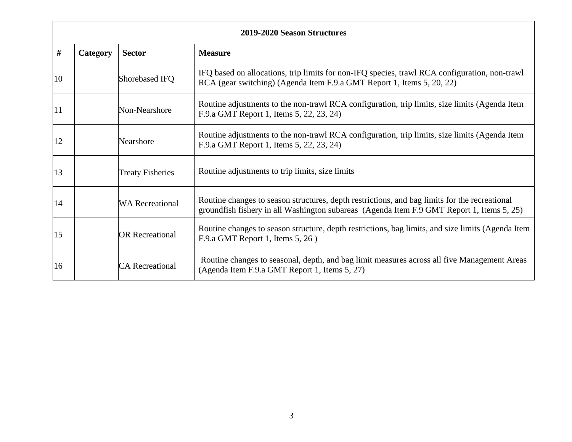| 2019-2020 Season Structures |          |                         |                                                                                                                                                                                            |
|-----------------------------|----------|-------------------------|--------------------------------------------------------------------------------------------------------------------------------------------------------------------------------------------|
| #                           | Category | <b>Sector</b>           | <b>Measure</b>                                                                                                                                                                             |
| 10                          |          | Shorebased IFQ          | IFQ based on allocations, trip limits for non-IFQ species, trawl RCA configuration, non-trawl<br>RCA (gear switching) (Agenda Item F.9.a GMT Report 1, Items 5, 20, 22)                    |
| 11                          |          | Non-Nearshore           | Routine adjustments to the non-trawl RCA configuration, trip limits, size limits (Agenda Item<br>F.9.a GMT Report 1, Items 5, 22, 23, 24)                                                  |
| 12                          |          | Nearshore               | Routine adjustments to the non-trawl RCA configuration, trip limits, size limits (Agenda Item<br>F.9.a GMT Report 1, Items 5, 22, 23, 24)                                                  |
| 13                          |          | <b>Treaty Fisheries</b> | Routine adjustments to trip limits, size limits                                                                                                                                            |
| 14                          |          | <b>WA Recreational</b>  | Routine changes to season structures, depth restrictions, and bag limits for the recreational<br>groundfish fishery in all Washington subareas (Agenda Item F.9 GMT Report 1, Items 5, 25) |
| 15                          |          | <b>OR</b> Recreational  | Routine changes to season structure, depth restrictions, bag limits, and size limits (Agenda Item<br>F.9.a GMT Report 1, Items 5, 26)                                                      |
| 16                          |          | <b>CA</b> Recreational  | Routine changes to seasonal, depth, and bag limit measures across all five Management Areas<br>(Agenda Item F.9.a GMT Report 1, Items 5, 27)                                               |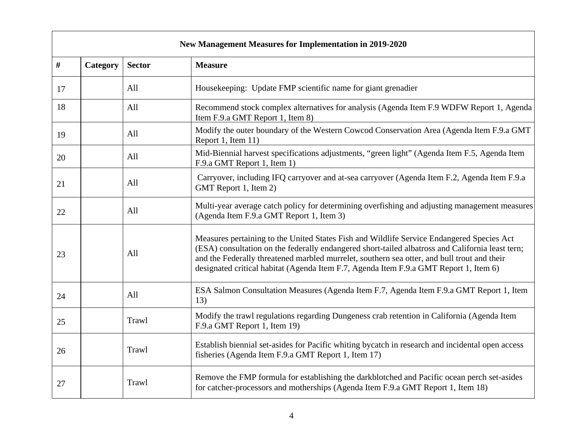| <b>New Management Measures for Implementation in 2019-2020</b> |          |               |                                                                                                                                                                                                                                                                                                                                                                                       |
|----------------------------------------------------------------|----------|---------------|---------------------------------------------------------------------------------------------------------------------------------------------------------------------------------------------------------------------------------------------------------------------------------------------------------------------------------------------------------------------------------------|
| $\#$                                                           | Category | <b>Sector</b> | <b>Measure</b>                                                                                                                                                                                                                                                                                                                                                                        |
| 17                                                             |          | All           | Housekeeping: Update FMP scientific name for giant grenadier                                                                                                                                                                                                                                                                                                                          |
| 18                                                             |          | All           | Recommend stock complex alternatives for analysis (Agenda Item F.9 WDFW Report 1, Agenda<br>Item F.9.a GMT Report 1, Item 8)                                                                                                                                                                                                                                                          |
| 19                                                             |          | All           | Modify the outer boundary of the Western Cowcod Conservation Area (Agenda Item F.9.a GMT<br>Report 1, Item 11)                                                                                                                                                                                                                                                                        |
| 20                                                             |          | All           | Mid-Biennial harvest specifications adjustments, "green light" (Agenda Item F.5, Agenda Item<br>F.9.a GMT Report 1, Item 1)                                                                                                                                                                                                                                                           |
| 21                                                             |          | All           | Carryover, including IFQ carryover and at-sea carryover (Agenda Item F.2, Agenda Item F.9.a<br>GMT Report 1, Item 2)                                                                                                                                                                                                                                                                  |
| 22                                                             |          | All           | Multi-year average catch policy for determining overfishing and adjusting management measures<br>(Agenda Item F.9.a GMT Report 1, Item 3)                                                                                                                                                                                                                                             |
| 23                                                             |          | All           | Measures pertaining to the United States Fish and Wildlife Service Endangered Species Act<br>(ESA) consultation on the federally endangered short-tailed albatross and California least tern;<br>and the Federally threatened marbled murrelet, southern sea otter, and bull trout and their<br>designated critical habitat (Agenda Item F.7, Agenda Item F.9.a GMT Report 1, Item 6) |
| 24                                                             |          | All           | ESA Salmon Consultation Measures (Agenda Item F.7, Agenda Item F.9.a GMT Report 1, Item<br>13)                                                                                                                                                                                                                                                                                        |
| 25                                                             |          | Trawl         | Modify the trawl regulations regarding Dungeness crab retention in California (Agenda Item<br>F.9.a GMT Report 1, Item 19)                                                                                                                                                                                                                                                            |
| 26                                                             |          | Trawl         | Establish biennial set-asides for Pacific whiting bycatch in research and incidental open access<br>fisheries (Agenda Item F.9.a GMT Report 1, Item 17)                                                                                                                                                                                                                               |
| 27                                                             |          | Trawl         | Remove the FMP formula for establishing the darkblotched and Pacific ocean perch set-asides<br>for catcher-processors and motherships (Agenda Item F.9.a GMT Report 1, Item 18)                                                                                                                                                                                                       |